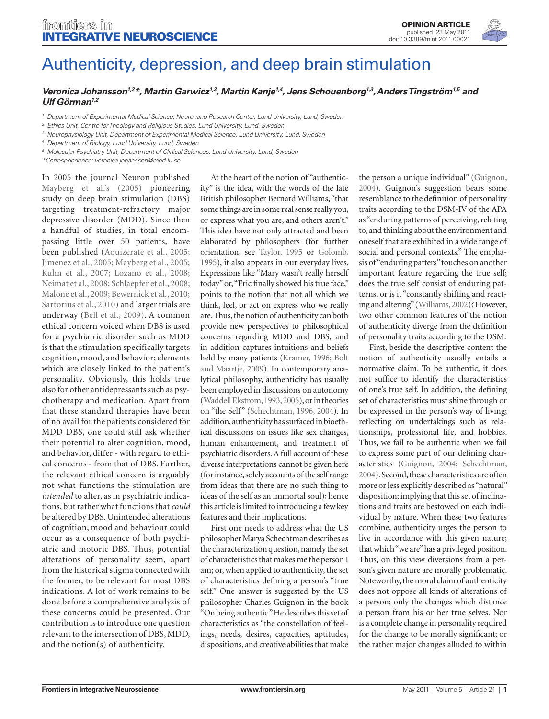

## [Authenticity, depression, and deep brain stimulation](http://www.frontiersin.org/integrative_neuroscience/10.3389/fnint.2011.00021/full)

*[Veronica Johansson1](http://www.frontiersin.org/people/veronicajohansson/23907),2\*, [Martin Garwicz1](http://www.frontiersin.org/people/martingarwicz/32624),3, Martin Kanje1,4, [Jens Schouenborg1](http://www.frontiersin.org/people/jensschouenborg/24893),3, [Anders Tingström1](http://www.frontiersin.org/people/anderstingstr%c3%b6m/9900),5 and Ulf Görman1,2*

*<sup>1</sup> Department of Experimental Medical Science, Neuronano Research Center, Lund University, Lund, Sweden*

*<sup>2</sup> Ethics Unit, Centre for Theology and Religious Studies, Lund University, Lund, Sweden*

*<sup>3</sup> Neurophysiology Unit, Department of Experimental Medical Science, Lund University, Lund, Sweden*

*<sup>4</sup> Department of Biology, Lund University, Lund, Sweden*

*<sup>5</sup> Molecular Psychiatry Unit, Department of Clinical Sciences, Lund University, Lund, Sweden*

*\*Correspondence: veronica.johansson@med.lu.se*

In 2005 the journal Neuron published Mayberg et al.'s (2005) pioneering study on deep brain stimulation (DBS) targeting treatment-refractory major depressive disorder (MDD). Since then a handful of studies, in total encompassing little over 50 patients, have been published (Aouizerate et al., 2005; Jimenez et al., 2005; Mayberg et al., 2005; Kuhn et al., 2007; Lozano et al., 2008; Neimat et al., 2008; Schlaepfer et al., 2008; Malone et al., 2009; Bewernick et al., 2010; Sartorius et al., 2010) and larger trials are underway (Bell et al., 2009). A common ethical concern voiced when DBS is used for a psychiatric disorder such as MDD is that the stimulation specifically targets cognition, mood, and behavior; elements which are closely linked to the patient's personality. Obviously, this holds true also for other antidepressants such as psychotherapy and medication. Apart from that these standard therapies have been of no avail for the patients considered for MDD DBS, one could still ask whether their potential to alter cognition, mood, and behavior, differ - with regard to ethical concerns - from that of DBS. Further, the relevant ethical concern is arguably not what functions the stimulation are *intended* to alter, as in psychiatric indications, but rather what functions that *could* be altered by DBS. Unintended alterations of cognition, mood and behaviour could occur as a consequence of both psychiatric and motoric DBS. Thus, potential alterations of personality seem, apart from the historical stigma connected with the former, to be relevant for most DBS indications. A lot of work remains to be done before a comprehensive analysis of these concerns could be presented. Our contribution is to introduce one question relevant to the intersection of DBS, MDD, and the notion(s) of authenticity.

At the heart of the notion of "authenticity" is the idea, with the words of the late British philosopher Bernard Williams, "that some things are in some real sense really you, or express what you are, and others aren't." This idea have not only attracted and been elaborated by philosophers (for further orientation, see Taylor, 1995 or Golomb, 1995), it also appears in our everyday lives. Expressions like "Mary wasn't really herself today" or, "Eric finally showed his true face," points to the notion that not all which we think, feel, or act on express who we really are. Thus, the notion of authenticity can both provide new perspectives to philosophical concerns regarding MDD and DBS, and in addition captures intuitions and beliefs held by many patients (Kramer, 1996; Bolt and Maartje, 2009). In contemporary analytical philosophy, authenticity has usually been employed in discussions on autonomy (Waddell Ekstrom, 1993, 2005), or in theories on "the Self" (Schechtman, 1996, 2004). In addition, authenticity has surfaced in bioethical discussions on issues like sex changes, human enhancement, and treatment of psychiatric disorders. A full account of these diverse interpretations cannot be given here (for instance, solely accounts of the self range from ideas that there are no such thing to ideas of the self as an immortal soul); hence this article is limited to introducing a few key features and their implications.

First one needs to address what the US philosopher Marya Schechtman describes as the characterization question, namely the set of characteristics that makes me the person I am; or, when applied to authenticity, the set of characteristics defining a person's "true self." One answer is suggested by the US philosopher Charles Guignon in the book "On being authentic." He describes this set of characteristics as "the constellation of feelings, needs, desires, capacities, aptitudes, dispositions, and creative abilities that make the person a unique individual" (Guignon, 2004). Guignon's suggestion bears some resemblance to the definition of personality traits according to the DSM-IV of the APA as "enduring patterns of perceiving, relating to, and thinking about the environment and oneself that are exhibited in a wide range of social and personal contexts." The emphasis of "enduring patters" touches on another important feature regarding the true self; does the true self consist of enduring patterns, or is it "constantly shifting and reacting and altering" (Williams, 2002)? However, two other common features of the notion of authenticity diverge from the definition of personality traits according to the DSM.

First, beside the descriptive content the notion of authenticity usually entails a normative claim. To be authentic, it does not suffice to identify the characteristics of one's true self. In addition, the defining set of characteristics must shine through or be expressed in the person's way of living; reflecting on undertakings such as relationships, professional life, and hobbies. Thus, we fail to be authentic when we fail to express some part of our defining characteristics (Guignon, 2004; Schechtman, 2004). Second, these characteristics are often more or less explicitly described as "natural" disposition; implying that this set of inclinations and traits are bestowed on each individual by nature. When these two features combine, authenticity urges the person to live in accordance with this given nature; that which "we are" has a privileged position. Thus, on this view diversions from a person's given nature are morally problematic. Noteworthy, the moral claim of authenticity does not oppose all kinds of alterations of a person; only the changes which distance a person from his or her true selves. Nor is a complete change in personality required for the change to be morally significant; or the rather major changes alluded to within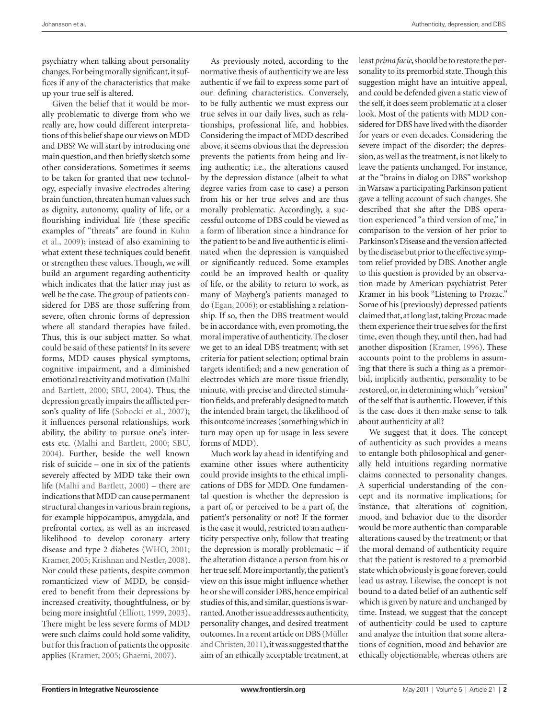psychiatry when talking about personality changes. For being morally significant, it suffices if any of the characteristics that make up your true self is altered.

Given the belief that it would be morally problematic to diverge from who we really are, how could different interpretations of this belief shape our views on MDD and DBS? We will start by introducing one main question, and then briefly sketch some other considerations. Sometimes it seems to be taken for granted that new technology, especially invasive electrodes altering brain function, threaten human values such as dignity, autonomy, quality of life, or a flourishing individual life (these specific examples of "threats" are found in Kuhn et al., 2009); instead of also examining to what extent these techniques could benefit or strengthen these values. Though, we will build an argument regarding authenticity which indicates that the latter may just as well be the case. The group of patients considered for DBS are those suffering from severe, often chronic forms of depression where all standard therapies have failed. Thus, this is our subject matter. So what could be said of these patients? In its severe forms, MDD causes physical symptoms, cognitive impairment, and a diminished emotional reactivity and motivation (Malhi and Bartlett, 2000; SBU, 2004). Thus, the depression greatly impairs the afflicted person's quality of life (Sobocki et al., 2007); it influences personal relationships, work ability, the ability to pursue one's interests etc. (Malhi and Bartlett, 2000; SBU, 2004). Further, beside the well known risk of suicide – one in six of the patients severely affected by MDD take their own life (Malhi and Bartlett, 2000) – there are indications that MDD can cause permanent structural changes in various brain regions, for example hippocampus, amygdala, and prefrontal cortex, as well as an increased likelihood to develop coronary artery disease and type 2 diabetes (WHO, 2001; Kramer, 2005; Krishnan and Nestler, 2008). Nor could these patients, despite common romanticized view of MDD, be considered to benefit from their depressions by increased creativity, thoughtfulness, or by being more insightful (Elliott, 1999, 2003). There might be less severe forms of MDD were such claims could hold some validity, but for this fraction of patients the opposite applies (Kramer, 2005; Ghaemi, 2007).

As previously noted, according to the normative thesis of authenticity we are less authentic if we fail to express some part of our defining characteristics. Conversely, to be fully authentic we must express our true selves in our daily lives, such as relationships, professional life, and hobbies. Considering the impact of MDD described above, it seems obvious that the depression prevents the patients from being and living authentic; i.e., the alterations caused by the depression distance (albeit to what degree varies from case to case) a person from his or her true selves and are thus morally problematic. Accordingly, a successful outcome of DBS could be viewed as a form of liberation since a hindrance for the patient to be and live authentic is eliminated when the depression is vanquished or significantly reduced. Some examples could be an improved health or quality of life, or the ability to return to work, as many of Mayberg's patients managed to do (Egan, 2006); or establishing a relationship. If so, then the DBS treatment would be in accordance with, even promoting, the moral imperative of authenticity. The closer we get to an ideal DBS treatment; with set criteria for patient selection; optimal brain targets identified; and a new generation of electrodes which are more tissue friendly, minute, with precise and directed stimulation fields, and preferably designed to match the intended brain target, the likelihood of this outcome increases (something which in turn may open up for usage in less severe forms of MDD).

Much work lay ahead in identifying and examine other issues where authenticity could provide insights to the ethical implications of DBS for MDD. One fundamental question is whether the depression is a part of, or perceived to be a part of, the patient's personality or not? If the former is the case it would, restricted to an authenticity perspective only, follow that treating the depression is morally problematic – if the alteration distance a person from his or her true self. More importantly, the patient's view on this issue might influence whether he or she will consider DBS, hence empirical studies of this, and similar, questions is warranted. Another issue addresses authenticity, personality changes, and desired treatment outcomes. In a recent article on DBS (Müller and Christen, 2011), it was suggested that the aim of an ethically acceptable treatment, at least *prima facie*, should be to restore the personality to its premorbid state. Though this suggestion might have an intuitive appeal, and could be defended given a static view of the self, it does seem problematic at a closer look. Most of the patients with MDD considered for DBS have lived with the disorder for years or even decades. Considering the severe impact of the disorder; the depression, as well as the treatment, is not likely to leave the patients unchanged. For instance, at the "brains in dialog on DBS" workshop in Warsaw a participating Parkinson patient gave a telling account of such changes. She described that she after the DBS operation experienced "a third version of me," in comparison to the version of her prior to Parkinson's Disease and the version affected by the disease but prior to the effective symptom relief provided by DBS. Another angle to this question is provided by an observation made by American psychiatrist Peter Kramer in his book "Listening to Prozac." Some of his (previously) depressed patients claimed that, at long last, taking Prozac made them experience their true selves for the first time, even though they, until then, had had another disposition (Kramer, 1996). These accounts point to the problems in assuming that there is such a thing as a premorbid, implicitly authentic, personality to be restored, or, in determining which "version" of the self that is authentic. However, if this is the case does it then make sense to talk about authenticity at all?

We suggest that it does. The concept of authenticity as such provides a means to entangle both philosophical and generally held intuitions regarding normative claims connected to personality changes. A superficial understanding of the concept and its normative implications; for instance, that alterations of cognition, mood, and behavior due to the disorder would be more authentic than comparable alterations caused by the treatment; or that the moral demand of authenticity require that the patient is restored to a premorbid state which obviously is gone forever, could lead us astray. Likewise, the concept is not bound to a dated belief of an authentic self which is given by nature and unchanged by time. Instead, we suggest that the concept of authenticity could be used to capture and analyze the intuition that some alterations of cognition, mood and behavior are ethically objectionable, whereas others are